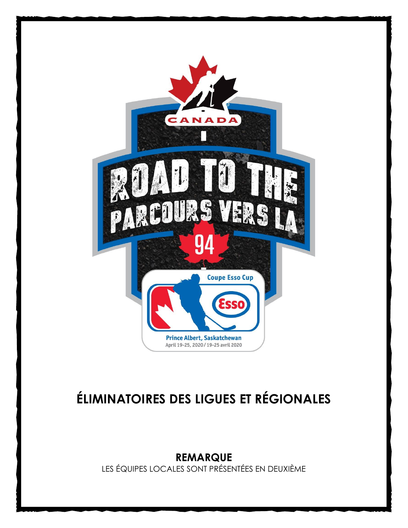

# **ÉLIMINATOIRES DES LIGUES ET RÉGIONALES**

**REMARQUE** LES ÉQUIPES LOCALES SONT PRÉSENTÉES EN DEUXIÈME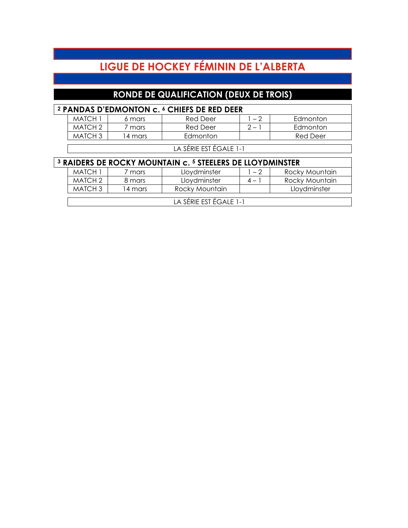# **LIGUE DE HOCKEY FÉMININ DE L'ALBERTA**

## **RONDE DE QUALIFICATION (DEUX DE TROIS)**

| <sup>2</sup> PANDAS D'EDMONTON c. <sup>6</sup> CHIEFS DE RED DEER |         |                                                                                 |         |                 |  |  |  |
|-------------------------------------------------------------------|---------|---------------------------------------------------------------------------------|---------|-----------------|--|--|--|
| <b>MATCH 1</b>                                                    | 6 mars  | <b>Red Deer</b>                                                                 | $1 - 2$ | Edmonton        |  |  |  |
| MATCH <sub>2</sub>                                                | 7 mars  | <b>Red Deer</b>                                                                 | $2 - 1$ | Edmonton        |  |  |  |
| MATCH <sub>3</sub>                                                | 14 mars | Edmonton                                                                        |         | <b>Red Deer</b> |  |  |  |
| LA SÉRIE EST ÉGALE 1-1                                            |         |                                                                                 |         |                 |  |  |  |
|                                                                   |         |                                                                                 |         |                 |  |  |  |
|                                                                   |         | <sup>3</sup> RAIDERS DE ROCKY MOUNTAIN c. <sup>5</sup> STEELERS DE LLOYDMINSTER |         |                 |  |  |  |
| MATCH 1                                                           | 7 mars  | Lloydminster                                                                    | $1 - 2$ | Rocky Mountain  |  |  |  |
| MATCH <sub>2</sub>                                                | 8 mars  | Lloydminster                                                                    | $4 - 1$ | Rocky Mountain  |  |  |  |
| MATCH <sub>3</sub>                                                | 14 mars | Rocky Mountain                                                                  |         | Lloydminster    |  |  |  |
| LA SÉRIE EST ÉGALE 1-1                                            |         |                                                                                 |         |                 |  |  |  |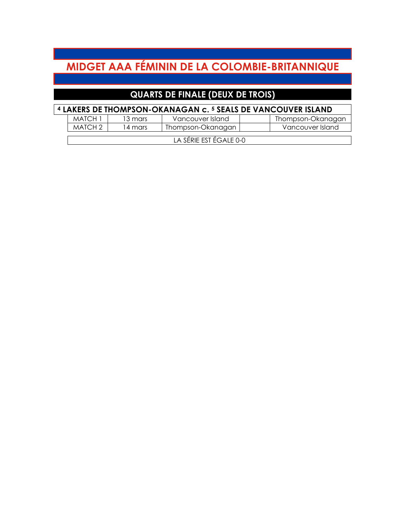# **MIDGET AAA FÉMININ DE LA COLOMBIE-BRITANNIQUE**

## **QUARTS DE FINALE (DEUX DE TROIS)**

|         |         | <sup>4</sup> LAKERS DE THOMPSON-OKANAGAN c. <sup>5</sup> SEALS DE VANCOUVER ISLAND |                   |
|---------|---------|------------------------------------------------------------------------------------|-------------------|
| MATCH 1 | 13 mars | Vancouver Island                                                                   | Thompson-Okanagan |
| MATCH 2 | 14 mars | Thompson-Okanagan                                                                  | Vancouver Island  |

LA SÉRIE EST ÉGALE 0-0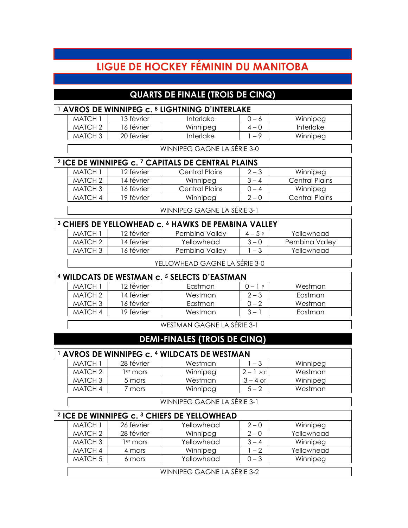## **LIGUE DE HOCKEY FÉMININ DU MANITOBA**

### **QUARTS DE FINALE (TROIS DE CINQ)**

| <sup>1</sup> AVROS DE WINNIPEG c. <sup>8</sup> LIGHTNING D'INTERLAKE |            |                  |         |           |  |  |  |
|----------------------------------------------------------------------|------------|------------------|---------|-----------|--|--|--|
| MATCH 1                                                              | 13 février | Interlake        | $0 - 6$ | Winnipeg  |  |  |  |
| MATCH 2                                                              | 16 février | Winnipeg         | $4-0$   | Interlake |  |  |  |
| MATCH <sub>3</sub>                                                   | 20 février | <b>Interlake</b> | - 9     | Winnipeg  |  |  |  |
|                                                                      |            |                  |         |           |  |  |  |
| WINNIPEG GAGNE LA SERIE 3-0                                          |            |                  |         |           |  |  |  |

## **<sup>2</sup> ICE DE WINNIPEG c. <sup>7</sup> CAPITALS DE CENTRAL PLAINS**

| MATCH 1 | I2 février  | Central Plains | $2 - 3$ | Winnipeg              |
|---------|-------------|----------------|---------|-----------------------|
| MATCH 2 | 14 février  | Winnipeg       | $3 - 4$ | Central Plains        |
| MATCH 3 | I 6 février | Central Plains | $-4$    | Winnipeg              |
| MATCH 4 | 19 février  | Winnipeg       | $2 - 0$ | <b>Central Plains</b> |
|         |             |                |         |                       |

WINNIPEG GAGNE LA SÉRIE 3-1

| <sup>3</sup> CHIEFS DE YELLOWHEAD c. <sup>6</sup> HAWKS DE PEMBINA VALLEY |             |                |          |                |  |  |
|---------------------------------------------------------------------------|-------------|----------------|----------|----------------|--|--|
| MATCH 1                                                                   | 12 février  | Pembina Valley | $4 - 5P$ | Yellowhead     |  |  |
| MATCH 2                                                                   | 14 février  | Yellowhead     | $3 - 0$  | Pembina Vallev |  |  |
| MATCH 3                                                                   | l 6 février | Pembina Vallev | $-3$     | Yellowhead     |  |  |
|                                                                           |             |                |          |                |  |  |

YELLOWHEAD GAGNE LA SÉRIE 3-0

#### **<sup>4</sup> WILDCATS DE WESTMAN c. <sup>5</sup> SELECTS D'EASTMAN**

| -------------- |            |         |         |         |  |
|----------------|------------|---------|---------|---------|--|
| MATCH 1        | 12 février | Eastman | ∩ — 1 P | Westman |  |
| MATCH 2        | 14 février | Westman | $2 - 3$ | Eastman |  |
| MATCH 3        | 16 février | Eastman | Ი – 2   | Westman |  |
| MATCH 4        | 19 février | Westman | $3 -$   | Eastman |  |

WESTMAN GAGNE LA SÉRIE 3-1

#### **DEMI-FINALES (TROIS DE CINQ)**

#### **<sup>1</sup> AVROS DE WINNIPEG c. <sup>4</sup> WILDCATS DE WESTMAN** MATCH 1 28 février Westman 1 – 3 Winnipeg

| .                  | ______        | .        |         |          |
|--------------------|---------------|----------|---------|----------|
| MATCH <sub>2</sub> | $e^{rt}$ mars | Winnipeg | 2OT     | Westman  |
| MATCH 3            | 5 mars        | Westman  | $-4$ ot | Winnipeg |
| MATCH 4            | mars          | Winnipeg | 5 — 2   | Westman  |

WINNIPEG GAGNE LA SÉRIE 3-1

| $^2$ ICE DE WINNIPEG c. $^3$ CHIEFS DE YELLOWHEAD |                      |                             |         |            |  |  |  |
|---------------------------------------------------|----------------------|-----------------------------|---------|------------|--|--|--|
| <b>MATCH 1</b>                                    | 26 février           | Yellowhead                  | $2 - 0$ | Winnipeg   |  |  |  |
| MATCH <sub>2</sub>                                | 28 février           | Winnipeg                    | $2 - 0$ | Yellowhead |  |  |  |
| MATCH <sub>3</sub>                                | l <sup>er</sup> mars | Yellowhead                  | $3 - 4$ | Winnipeg   |  |  |  |
| MATCH 4                                           | 4 mars               | Winnipeg                    | $1 - 2$ | Yellowhead |  |  |  |
| MATCH <sub>5</sub>                                | 6 mars               | Yellowhead                  | $0 - 3$ | Winnipeg   |  |  |  |
|                                                   |                      |                             |         |            |  |  |  |
|                                                   |                      | WINNIPEG GAGNE LA SÉRIE 3-2 |         |            |  |  |  |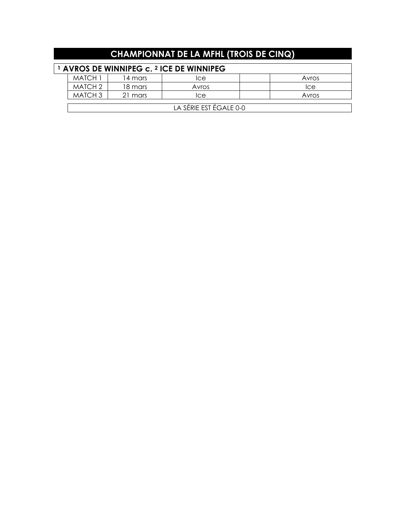|                                                                | <b>CHAMPIONNAT DE LA MFHL (TROIS DE CINQ)</b> |         |            |  |       |  |  |
|----------------------------------------------------------------|-----------------------------------------------|---------|------------|--|-------|--|--|
| <sup>1</sup> AVROS DE WINNIPEG c. <sup>2</sup> ICE DE WINNIPEG |                                               |         |            |  |       |  |  |
|                                                                | MATCH 1                                       | 14 mars | <b>Ice</b> |  | Avros |  |  |
|                                                                | MATCH <sub>2</sub>                            | 18 mars | Avros      |  | Ice   |  |  |
|                                                                | MATCH <sub>3</sub>                            | 21 mars | Ice        |  | Avros |  |  |
|                                                                | LA SÉRIE EST ÉGALE 0-0                        |         |            |  |       |  |  |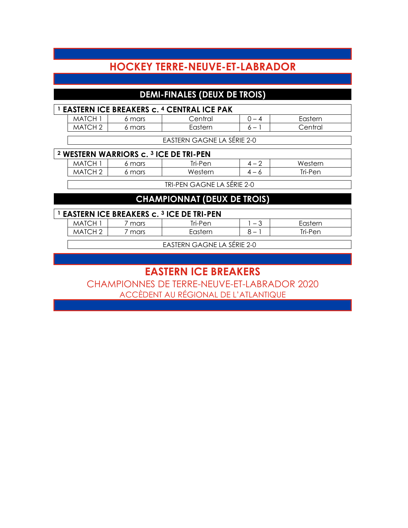## **HOCKEY TERRE-NEUVE-ET-LABRADOR**

### **DEMI-FINALES (DEUX DE TROIS)**

|         |        | <sup>1</sup> EASTERN ICE BREAKERS c. <sup>4</sup> CENTRAL ICE PAK |                          |         |
|---------|--------|-------------------------------------------------------------------|--------------------------|---------|
| MATCH . | 6 mars | Central                                                           |                          | Fastern |
| MATCH 2 | s mars | Eastern                                                           | $\overline{\phantom{0}}$ | Central |

EASTERN GAGNE LA SÉRIE 2-0

#### **<sup>2</sup> WESTERN WARRIORS c. <sup>3</sup> ICE DE TRI-PEN**

| MAI (           | mars | Tri-Pen | $\overline{\phantom{0}}$ | Western |
|-----------------|------|---------|--------------------------|---------|
| MA <sup>T</sup> | mars | Western | .<br>$\mathbf{u}$        | ™ri-Pen |
|                 |      |         |                          |         |

TRI-PEN GAGNE LA SÉRIE 2-0

### **CHAMPIONNAT (DEUX DE TROIS)**

| <sup>1</sup> EASTERN ICE BREAKERS c. <sup>3</sup> ICE DE TRI-PEN |              |      |         |  |         |  |  |  |
|------------------------------------------------------------------|--------------|------|---------|--|---------|--|--|--|
|                                                                  | <b>MATCH</b> | mars | Tri-Pen |  | Fastern |  |  |  |
|                                                                  | MATCH 2      | mars | Eastern |  | Tri-Pen |  |  |  |

EASTERN GAGNE LA SÉRIE 2-0

## **EASTERN ICE BREAKERS**

CHAMPIONNES DE TERRE-NEUVE-ET-LABRADOR 2020 ACCÈDENT AU RÉGIONAL DE L'ATLANTIQUE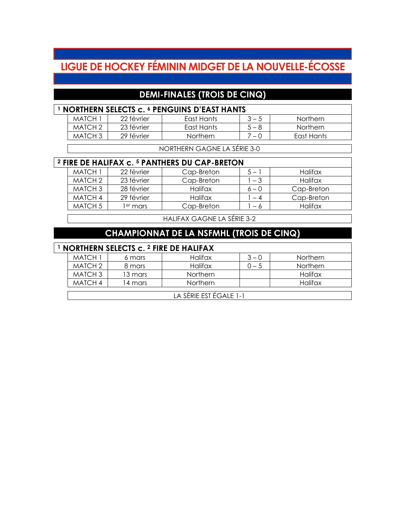# **LIGUE DE HOCKEY FÉMININ MIDGET DE LA NOUVELLE-ÉCOSSE**

### **DEMI-FINALES (TROIS DE CINQ)**

| <b>NORTHERN SELECTS c. 6 PENGUINS D'EAST HANTS</b> |                    |            |                 |         |            |  |
|----------------------------------------------------|--------------------|------------|-----------------|---------|------------|--|
|                                                    | MATCH              | 22 février | East Hants      | $3 - 5$ | Northern   |  |
|                                                    | MATCH <sub>2</sub> | 23 février | East Hants      | $5 - 8$ | Northern   |  |
|                                                    | MATCH 3            | 29 février | <b>Northern</b> | 7 – N   | Fast Hants |  |

NORTHERN GAGNE LA SÉRIE 3-0

#### **<sup>2</sup> FIRE DE HALIFAX c. <sup>5</sup> PANTHERS DU CAP-BRETON**

| MATCH 1            | 22 février | Cap-Breton | $5-$    | Halifax    |
|--------------------|------------|------------|---------|------------|
| MATCH <sub>2</sub> | 23 février | Cap-Breton | $-3$    | Halifax    |
| MATCH 3            | 28 février | Halifax    | $6 - 0$ | Cap-Breton |
| MATCH 4            | 29 février | Halifax    | $-4$    | Cap-Breton |
| MATCH 5            | $er$ mars  | Cap-Breton | - 6     | Halifax    |

HALIFAX GAGNE LA SÉRIE 3-2

### **CHAMPIONNAT DE LA NSFMHL (TROIS DE CINQ)**

#### **<sup>1</sup> NORTHERN SELECTS c. <sup>2</sup> FIRE DE HALIFAX**

| MATCH 1        | 6 mars   | Halifax         | $3 - 0$ | <b>Northern</b> |  |  |
|----------------|----------|-----------------|---------|-----------------|--|--|
| MATCH 2        | 8 mars   | Halifax         | J — 5   | <b>Northern</b> |  |  |
| MATCH 3        | 13 mars  | <b>Northern</b> |         | Halifax         |  |  |
| MATCH 4        | l 4 mars | <b>Northern</b> |         | Halifax         |  |  |
|                |          |                 |         |                 |  |  |
| .<br>_ _ _ . _ |          |                 |         |                 |  |  |

LA SÉRIE EST ÉGALE 1-1